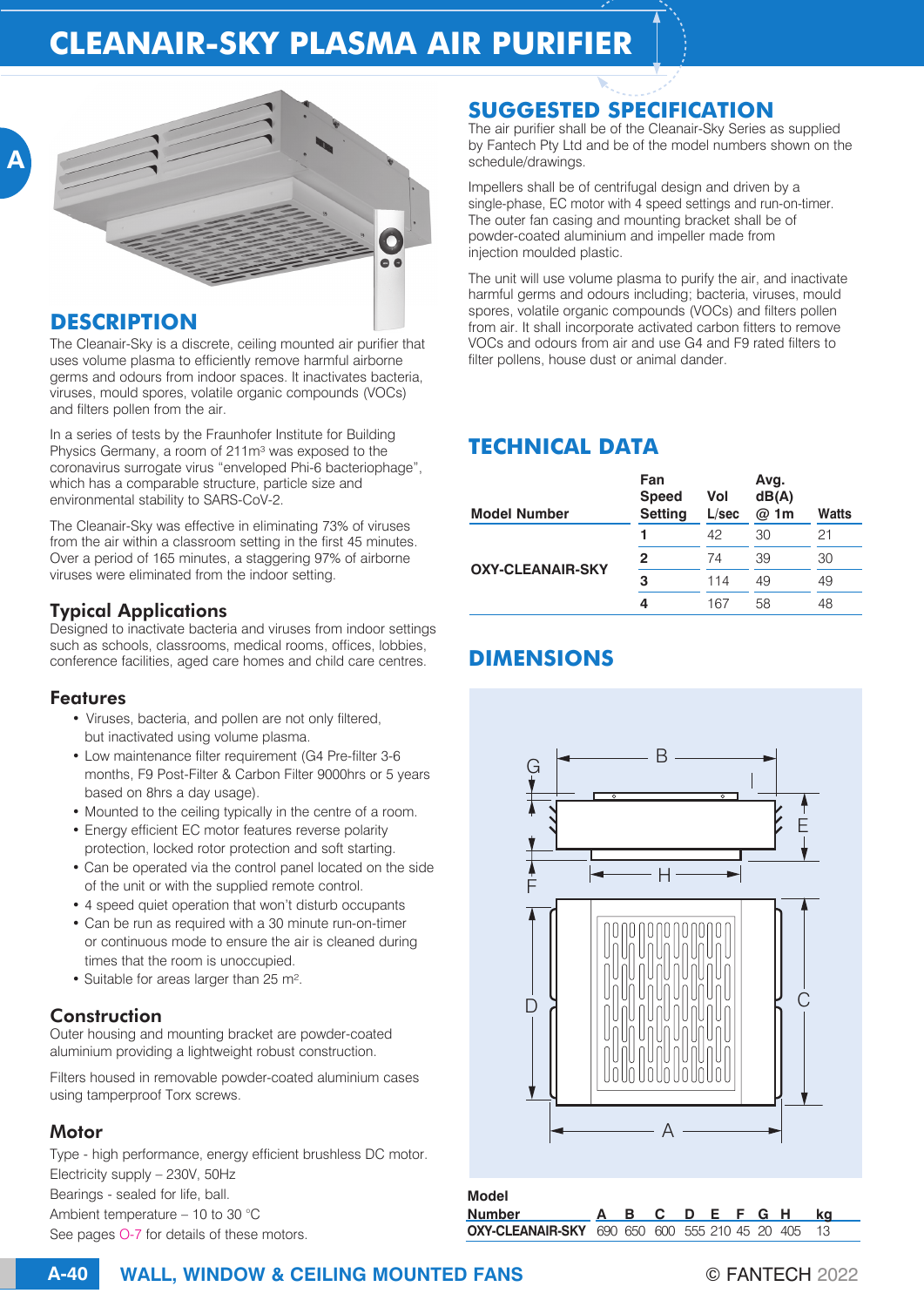# **CLEANAIR-SKY PLASMA AIR PURIFIER**



#### **DESCRIPTION**

The Cleanair-Sky is a discrete, ceiling mounted air purifier that uses volume plasma to efficiently remove harmful airborne germs and odours from indoor spaces. It inactivates bacteria, viruses, mould spores, volatile organic compounds (VOCs) and filters pollen from the air.

In a series of tests by the Fraunhofer Institute for Building Physics Germany, a room of 211m<sup>3</sup> was exposed to the coronavirus surrogate virus "enveloped Phi-6 bacteriophage", which has a comparable structure, particle size and environmental stability to SARS-CoV-2.

The Cleanair-Sky was effective in eliminating 73% of viruses from the air within a classroom setting in the first 45 minutes. Over a period of 165 minutes, a staggering 97% of airborne viruses were eliminated from the indoor setting.

## Typical Applications

Designed to inactivate bacteria and viruses from indoor settings such as schools, classrooms, medical rooms, offices, lobbies, conference facilities, aged care homes and child care centres.

## Features

- Viruses, bacteria, and pollen are not only filtered, but inactivated using volume plasma.
- Low maintenance filter requirement (G4 Pre-filter 3-6 months, F9 Post-Filter & Carbon Filter 9000hrs or 5 years based on 8hrs a day usage).
- Mounted to the ceiling typically in the centre of a room.
- Energy efficient EC motor features reverse polarity protection, locked rotor protection and soft starting.
- Can be operated via the control panel located on the side of the unit or with the supplied remote control.
- 4 speed quiet operation that won't disturb occupants
- Can be run as required with a 30 minute run-on-timer or continuous mode to ensure the air is cleaned during times that the room is unoccupied.
- Suitable for areas larger than 25 m².

#### Construction

Outer housing and mounting bracket are powder-coated aluminium providing a lightweight robust construction.

Filters housed in removable powder-coated aluminium cases using tamperproof Torx screws.

## **Motor**

Type - high performance, energy efficient brushless DC motor. Electricity supply – 230V, 50Hz Bearings - sealed for life, ball. Ambient temperature – 10 to 30 °C See pages O-7 for details of these motors.

## **SUGGESTED SPECIFICATION**

The air purifier shall be of the Cleanair-Sky Series as supplied by Fantech Pty Ltd and be of the model numbers shown on the schedule/drawings.

Impellers shall be of centrifugal design and driven by a single-phase, EC motor with 4 speed settings and run-on-timer. The outer fan casing and mounting bracket shall be of powder-coated aluminium and impeller made from injection moulded plastic.

The unit will use volume plasma to purify the air, and inactivate harmful germs and odours including; bacteria, viruses, mould spores, volatile organic compounds (VOCs) and filters pollen from air. It shall incorporate activated carbon fitters to remove VOCs and odours from air and use G4 and F9 rated filters to filter pollens, house dust or animal dander.

# **TECHNICAL DATA**

| <b>Model Number</b>     | Fan<br><b>Speed</b><br><b>Setting</b> | Vol<br>L/sec | Avg.<br>dB(A)<br>@ 1m | Watts |
|-------------------------|---------------------------------------|--------------|-----------------------|-------|
| <b>OXY-CLEANAIR-SKY</b> |                                       | 42           | 30                    | 21    |
|                         | 2                                     | 74           | 39                    | 30    |
|                         | з                                     | 114          | 49                    | 49    |
|                         | 4                                     | 167          | 58                    | 48    |

# **DIMENSIONS**



## **Model**

**Number A B C D E F G H kg OXY-CLEANAIR-SKY** 690 650 600 555 210 45 20 405 13